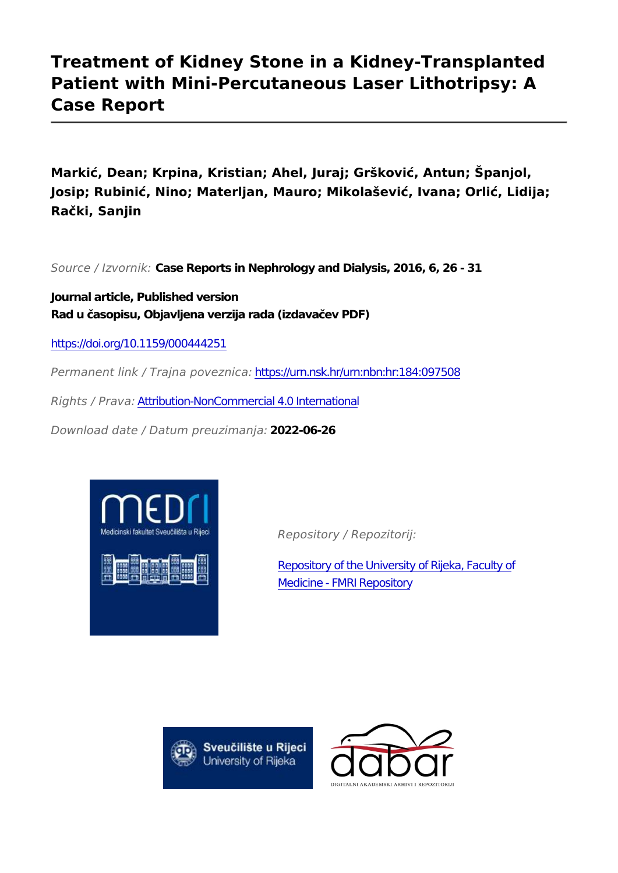# **Treatment of Kidney Stone in a Kidney-Transplanted Patient with Mini-Percutaneous Laser Lithotripsy: A Case Report**

**Markić, Dean; Krpina, Kristian; Ahel, Juraj; Gršković, Antun; Španjol, Josip; Rubinić, Nino; Materljan, Mauro; Mikolašević, Ivana; Orlić, Lidija; Rački, Sanjin**

*Source / Izvornik:* **Case Reports in Nephrology and Dialysis, 2016, 6, 26 - 31**

**Journal article, Published version Rad u časopisu, Objavljena verzija rada (izdavačev PDF)**

<https://doi.org/10.1159/000444251>

*Permanent link / Trajna poveznica:* <https://urn.nsk.hr/urn:nbn:hr:184:097508>

*Rights / Prava:* [Attribution-NonCommercial 4.0 International](http://creativecommons.org/licenses/by-nc/4.0/)

*Download date / Datum preuzimanja:* **2022-06-26**





*Repository / Repozitorij:*

[Repository of the University of Rijeka, Faculty of](https://repository.medri.uniri.hr) [Medicine - FMRI Repository](https://repository.medri.uniri.hr)



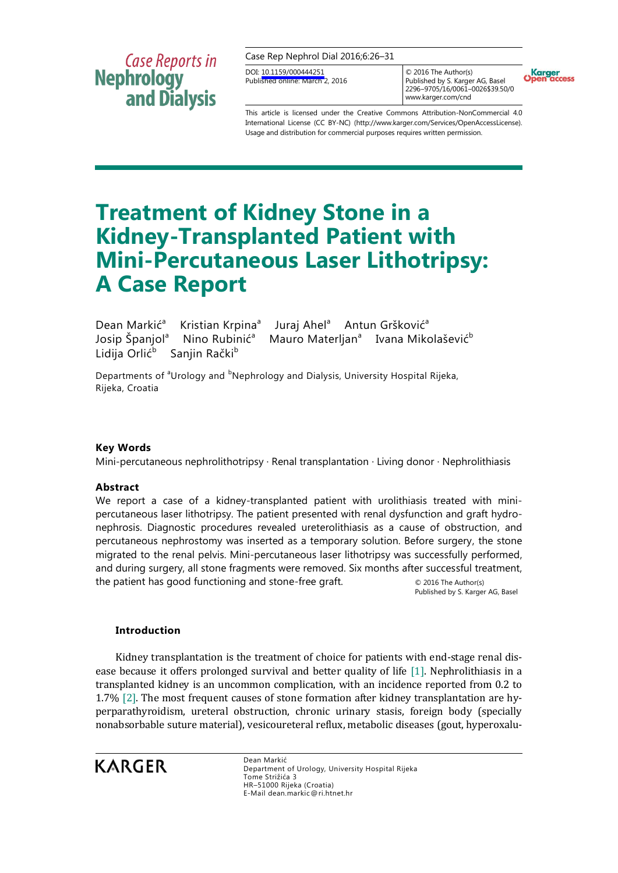### **Case Reports in Nephrology** and Dialysis

Case Rep Nephrol Dial 2016;6:26–31

DOI: [10.1159/000444251](http://dx.doi.org/10.1159%2F000444251) Published online: March 2, 2016

© 2016 The Author(s) Published by S. Karger AG, Basel 2296‒9705/16/0061‒0026\$39.50/0 www.karger.com/cnd



This article is licensed under the Creative Commons Attribution-NonCommercial 4.0 International License (CC BY-NC) (http://www.karger.com/Services/OpenAccessLicense). Usage and distribution for commercial purposes requires written permission.

# **Treatment of Kidney Stone in a Kidney-Transplanted Patient with Mini-Percutaneous Laser Lithotripsy: A Case Report**

Dean Markić<sup>a</sup> Kristian Krpina<sup>a</sup> Juraj Ahel<sup>a</sup> Antun Gršković<sup>a</sup> Josip Španjol<sup>a</sup> Nino Rubinić<sup>a</sup> Mauro Materljan<sup>a</sup> Ivana Mikolašević<sup>b</sup> Lidija Orlić<sup>b</sup> Sanjin Rački<sup>b</sup>

Departments of <sup>a</sup>Urology and <sup>b</sup>Nephrology and Dialysis, University Hospital Rijeka, Rijeka, Croatia

#### **Key Words**

Mini-percutaneous nephrolithotripsy · Renal transplantation · Living donor · Nephrolithiasis

#### **Abstract**

We report a case of a kidney-transplanted patient with urolithiasis treated with minipercutaneous laser lithotripsy. The patient presented with renal dysfunction and graft hydronephrosis. Diagnostic procedures revealed ureterolithiasis as a cause of obstruction, and percutaneous nephrostomy was inserted as a temporary solution. Before surgery, the stone migrated to the renal pelvis. Mini-percutaneous laser lithotripsy was successfully performed, and during surgery, all stone fragments were removed. Six months after successful treatment, the patient has good functioning and stone-free graft.  $\circ$  2016 The Author(s)

Published by S. Karger AG, Basel

#### **Introduction**

Kidney transplantation is the treatment of choice for patients with end-stage renal disease because it offers prolonged survival and better quality of life [1]. Nephrolithiasis in a transplanted kidney is an uncommon complication, with an incidence reported from 0.2 to 1.7% [2]. The most frequent causes of stone formation after kidney transplantation are hyperparathyroidism, ureteral obstruction, chronic urinary stasis, foreign body (specially nonabsorbable suture material), vesicoureteral reflux, metabolic diseases (gout, hyperoxalu-



Dean Markić Department of Urology, University Hospital Rijeka Tome Strižića 3 HR–51000 Rijeka (Croatia) E-Mail dean.markic@ri.htnet.hr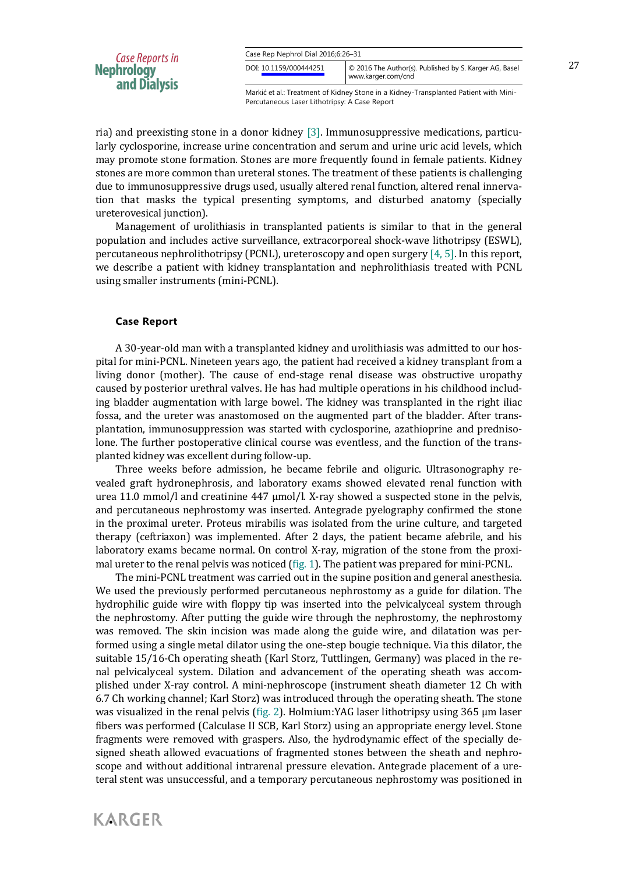| Case Rep Nephrol Dial 2016;6:26-31 |                                                                              |
|------------------------------------|------------------------------------------------------------------------------|
| DOI: 10.1159/000444251             | © 2016 The Author(s). Published by S. Karger AG, Basel<br>www.karger.com/cnd |

Markić et al.: Treatment of Kidney Stone in a Kidney-Transplanted Patient with Mini-Percutaneous Laser Lithotripsy: A Case Report

ria) and preexisting stone in a donor kidney [3]. Immunosuppressive medications, particularly cyclosporine, increase urine concentration and serum and urine uric acid levels, which may promote stone formation. Stones are more frequently found in female patients. Kidney stones are more common than ureteral stones. The treatment of these patients is challenging due to immunosuppressive drugs used, usually altered renal function, altered renal innervation that masks the typical presenting symptoms, and disturbed anatomy (specially ureterovesical junction).

Management of urolithiasis in transplanted patients is similar to that in the general population and includes active surveillance, extracorporeal shock-wave lithotripsy (ESWL), percutaneous nephrolithotripsy (PCNL), ureteroscopy and open surgery [4, 5]. In this report, we describe a patient with kidney transplantation and nephrolithiasis treated with PCNL using smaller instruments (mini-PCNL).

#### **Case Report**

**Case Reports in** 

and Dialysis

**Nephrology** 

A 30-year-old man with a transplanted kidney and urolithiasis was admitted to our hospital for mini-PCNL. Nineteen years ago, the patient had received a kidney transplant from a living donor (mother). The cause of end-stage renal disease was obstructive uropathy caused by posterior urethral valves. He has had multiple operations in his childhood including bladder augmentation with large bowel. The kidney was transplanted in the right iliac fossa, and the ureter was anastomosed on the augmented part of the bladder. After transplantation, immunosuppression was started with cyclosporine, azathioprine and prednisolone. The further postoperative clinical course was eventless, and the function of the transplanted kidney was excellent during follow-up.

Three weeks before admission, he became febrile and oliguric. Ultrasonography revealed graft hydronephrosis, and laboratory exams showed elevated renal function with urea 11.0 mmol/l and creatinine 447 μmol/l. X-ray showed a suspected stone in the pelvis, and percutaneous nephrostomy was inserted. Antegrade pyelography confirmed the stone in the proximal ureter. Proteus mirabilis was isolated from the urine culture, and targeted therapy (ceftriaxon) was implemented. After 2 days, the patient became afebrile, and his laboratory exams became normal. On control X-ray, migration of the stone from the proximal ureter to the renal pelvis was noticed (fig. 1). The patient was prepared for mini-PCNL.

The mini-PCNL treatment was carried out in the supine position and general anesthesia. We used the previously performed percutaneous nephrostomy as a guide for dilation. The hydrophilic guide wire with floppy tip was inserted into the pelvicalyceal system through the nephrostomy. After putting the guide wire through the nephrostomy, the nephrostomy was removed. The skin incision was made along the guide wire, and dilatation was performed using a single metal dilator using the one-step bougie technique. Via this dilator, the suitable 15/16-Ch operating sheath (Karl Storz, Tuttlingen, Germany) was placed in the renal pelvicalyceal system. Dilation and advancement of the operating sheath was accomplished under X-ray control. A mini-nephroscope (instrument sheath diameter 12 Ch with 6.7 Ch working channel; Karl Storz) was introduced through the operating sheath. The stone was visualized in the renal pelvis (fig. 2). Holmium:YAG laser lithotripsy using 365 µm laser fibers was performed (Calculase II SCB, Karl Storz) using an appropriate energy level. Stone fragments were removed with graspers. Also, the hydrodynamic effect of the specially designed sheath allowed evacuations of fragmented stones between the sheath and nephroscope and without additional intrarenal pressure elevation. Antegrade placement of a ureteral stent was unsuccessful, and a temporary percutaneous nephrostomy was positioned in

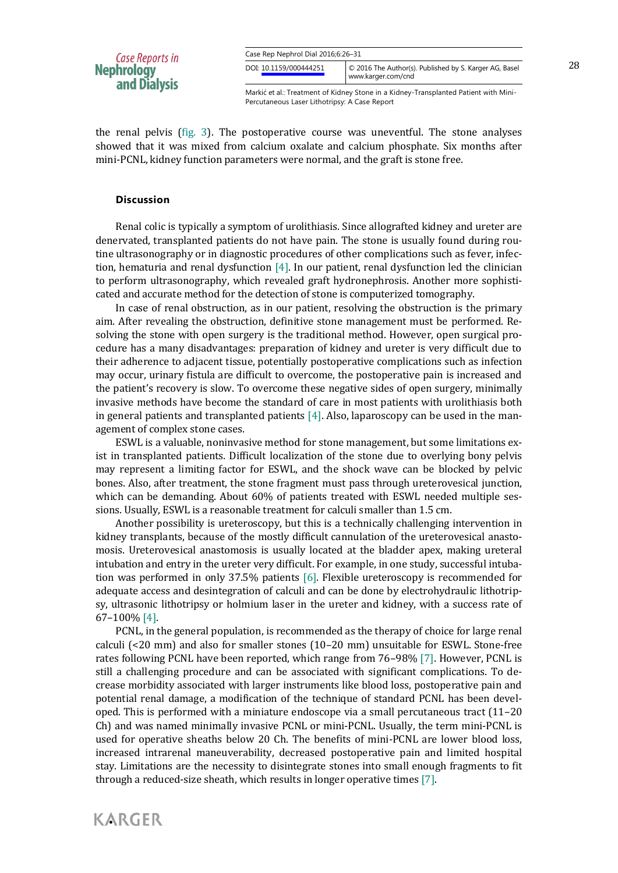|                   | <b>Case Reports in</b> |
|-------------------|------------------------|
| <b>Nephrology</b> |                        |
|                   | and Dialysis           |

| Case Rep Nephrol Dial 2016;6:26-31 |                                                                              |
|------------------------------------|------------------------------------------------------------------------------|
| DOI: 10.1159/000444251             | © 2016 The Author(s). Published by S. Karger AG, Basel<br>www.karger.com/cnd |

Markić et al.: Treatment of Kidney Stone in a Kidney-Transplanted Patient with Mini-Percutaneous Laser Lithotripsy: A Case Report

the renal pelvis (fig. 3). The postoperative course was uneventful. The stone analyses showed that it was mixed from calcium oxalate and calcium phosphate. Six months after mini-PCNL, kidney function parameters were normal, and the graft is stone free.

#### **Discussion**

Renal colic is typically a symptom of urolithiasis. Since allografted kidney and ureter are denervated, transplanted patients do not have pain. The stone is usually found during routine ultrasonography or in diagnostic procedures of other complications such as fever, infection, hematuria and renal dysfunction [4]. In our patient, renal dysfunction led the clinician to perform ultrasonography, which revealed graft hydronephrosis. Another more sophisticated and accurate method for the detection of stone is computerized tomography.

In case of renal obstruction, as in our patient, resolving the obstruction is the primary aim. After revealing the obstruction, definitive stone management must be performed. Resolving the stone with open surgery is the traditional method. However, open surgical procedure has a many disadvantages: preparation of kidney and ureter is very difficult due to their adherence to adjacent tissue, potentially postoperative complications such as infection may occur, urinary fistula are difficult to overcome, the postoperative pain is increased and the patient's recovery is slow. To overcome these negative sides of open surgery, minimally invasive methods have become the standard of care in most patients with urolithiasis both in general patients and transplanted patients [4]. Also, laparoscopy can be used in the management of complex stone cases.

ESWL is a valuable, noninvasive method for stone management, but some limitations exist in transplanted patients. Difficult localization of the stone due to overlying bony pelvis may represent a limiting factor for ESWL, and the shock wave can be blocked by pelvic bones. Also, after treatment, the stone fragment must pass through ureterovesical junction, which can be demanding. About 60% of patients treated with ESWL needed multiple sessions. Usually, ESWL is a reasonable treatment for calculi smaller than 1.5 cm.

Another possibility is ureteroscopy, but this is a technically challenging intervention in kidney transplants, because of the mostly difficult cannulation of the ureterovesical anastomosis. Ureterovesical anastomosis is usually located at the bladder apex, making ureteral intubation and entry in the ureter very difficult. For example, in one study, successful intubation was performed in only 37.5% patients [6]. Flexible ureteroscopy is recommended for adequate access and desintegration of calculi and can be done by electrohydraulic lithotripsy, ultrasonic lithotripsy or holmium laser in the ureter and kidney, with a success rate of 67–100% [4].

PCNL, in the general population, is recommended as the therapy of choice for large renal calculi (<20 mm) and also for smaller stones (10–20 mm) unsuitable for ESWL. Stone-free rates following PCNL have been reported, which range from 76–98% [7]. However, PCNL is still a challenging procedure and can be associated with significant complications. To decrease morbidity associated with larger instruments like blood loss, postoperative pain and potential renal damage, a modification of the technique of standard PCNL has been developed. This is performed with a miniature endoscope via a small percutaneous tract (11–20 Ch) and was named minimally invasive PCNL or mini-PCNL. Usually, the term mini-PCNL is used for operative sheaths below 20 Ch. The benefits of mini-PCNL are lower blood loss, increased intrarenal maneuverability, decreased postoperative pain and limited hospital stay. Limitations are the necessity to disintegrate stones into small enough fragments to fit through a reduced-size sheath, which results in longer operative times [7].

**KARGER**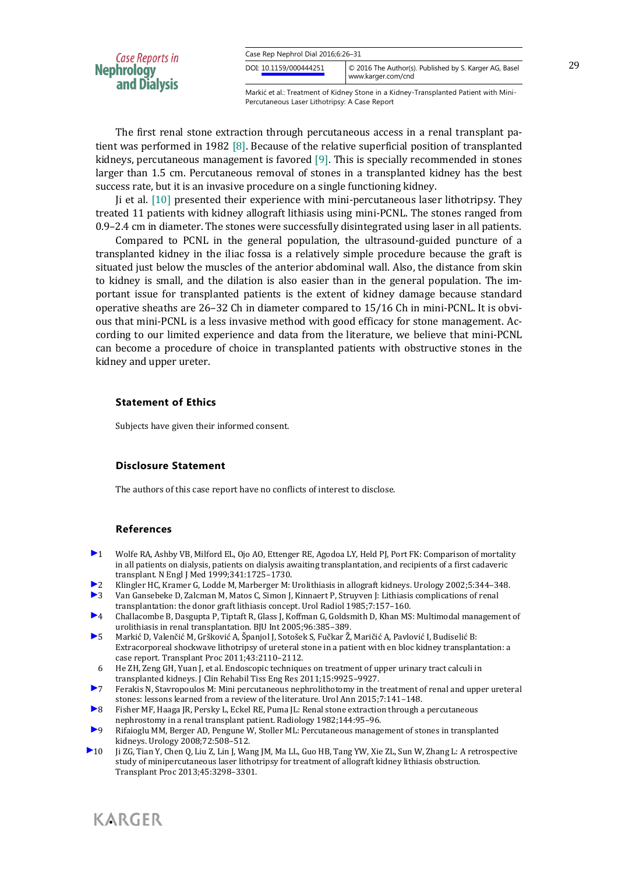| Case Rep Nephrol Dial 2016;6:26-31 |                                                                              |
|------------------------------------|------------------------------------------------------------------------------|
| DOI: 10.1159/000444251             | C 2016 The Author(s). Published by S. Karger AG, Basel<br>www.karger.com/cnd |

29

Markić et al.: Treatment of Kidney Stone in a Kidney-Transplanted Patient with Mini-Percutaneous Laser Lithotripsy: A Case Report

The first renal stone extraction through percutaneous access in a renal transplant patient was performed in 1982 [8]. Because of the relative superficial position of transplanted kidneys, percutaneous management is favored [9]. This is specially recommended in stones larger than 1.5 cm. Percutaneous removal of stones in a transplanted kidney has the best success rate, but it is an invasive procedure on a single functioning kidney.

Ji et al. [10] presented their experience with mini-percutaneous laser lithotripsy. They treated 11 patients with kidney allograft lithiasis using mini-PCNL. The stones ranged from 0.9–2.4 cm in diameter. The stones were successfully disintegrated using laser in all patients.

Compared to PCNL in the general population, the ultrasound-guided puncture of a transplanted kidney in the iliac fossa is a relatively simple procedure because the graft is situated just below the muscles of the anterior abdominal wall. Also, the distance from skin to kidney is small, and the dilation is also easier than in the general population. The important issue for transplanted patients is the extent of kidney damage because standard operative sheaths are 26–32 Ch in diameter compared to 15/16 Ch in mini-PCNL. It is obvious that mini-PCNL is a less invasive method with good efficacy for stone management. According to our limited experience and data from the literature, we believe that mini-PCNL can become a procedure of choice in transplanted patients with obstructive stones in the kidney and upper ureter.

#### **Statement of Ethics**

Subjects have given their informed consent.

#### **Disclosure Statement**

The authors of this case report have no conflicts of interest to disclose.

#### **References**

- 1 Wolfe RA, Ashby VB, Milford EL, Ojo AO, Ettenger RE, Agodoa LY, Held PJ, Port FK: Comparison of mortality in all patients on dialysis, patients on dialysis awaiting transplantation, and recipients of a first cadaveric transplant. N Engl J Med 1999;341:1725–1730.
- 2 Klingler HC, Kramer G, Lodde M, Marberger M: Urolithiasis in allograft kidneys. Urology 2002;5:344–348.
- 3 Van Gansebeke D, Zalcman M, Matos C, Simon J, Kinnaert P, Struyven J: Lithiasis complications of renal transplantation: the donor graft lithiasis concept. Urol Radiol 1985;7:157–160.
- 4 Challacombe B, Dasgupta P, Tiptaft R, Glass J, Koffman G, Goldsmith D, Khan MS: Multimodal management of urolithiasis in renal transplantation. BJU Int 2005;96:385–389.
- 5 Markić D, Valenčić M, Gršković A, Španjol J, Sotošek S, Fučkar Ž, Maričić A, Pavlović I, Budiselić B: Extracorporeal shockwave lithotripsy of ureteral stone in a patient with en bloc kidney transplantation: a case report. Transplant Proc 2011;43:2110–2112.
- 6 He ZH, Zeng GH, Yuan J, et al. Endoscopic techniques on treatment of upper urinary tract calculi in transplanted kidneys. J Clin Rehabil Tiss Eng Res 2011;15:9925–9927.
- $\triangleright$  7 Ferakis N, Stavropoulos M: Mini percutaneous nephrolithotomy in the treatment of renal and upper ureteral stones: lessons learned from a review of the literature. Urol Ann 2015;7:141–148.
- 8 Fisher MF, Haaga JR, Persky L, Eckel RE, Puma JL: Renal stone extraction through a percutaneous nephrostomy in a renal transplant patient. Radiology 1982;144:95–96.
- 9 Rifaioglu MM, Berger AD, Pengune W, Stoller ML: Percutaneous management of stones in transplanted kidneys. Urology 2008;72:508–512.
- 10 Ji ZG, Tian Y, Chen Q, Liu Z, Lin J, Wang JM, Ma LL, Guo HB, Tang YW, Xie ZL, Sun W, Zhang L: A retrospective study of minipercutaneous laser lithotripsy for treatment of allograft kidney lithiasis obstruction. Transplant Proc 2013;45:3298–3301.

**KARGER**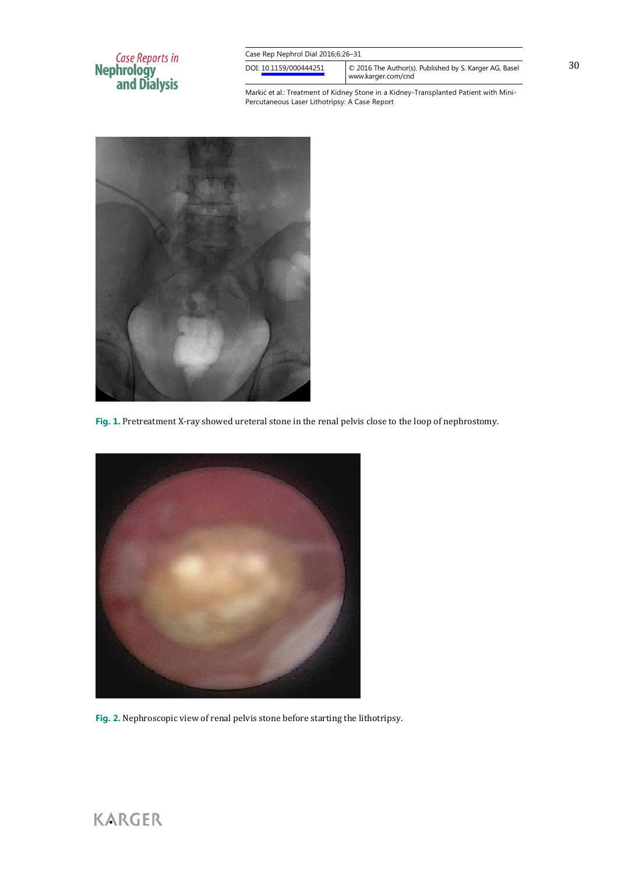|                   | Case Reports in |
|-------------------|-----------------|
| <b>Nephrology</b> |                 |
|                   | and Dialysis    |

| Case Rep Nephrol Dial 2016;6:26-31 |                                                                              |
|------------------------------------|------------------------------------------------------------------------------|
| DOI: 10.1159/000444251             | © 2016 The Author(s). Published by S. Karger AG, Basel<br>www.karger.com/cnd |

30

Markić et al.: Treatment of Kidney Stone in a Kidney-Transplanted Patient with Mini-Percutaneous Laser Lithotripsy: A Case Report



**Fig. 1.** Pretreatment X-ray showed ureteral stone in the renal pelvis close to the loop of nephrostomy.



**Fig. 2.** Nephroscopic view of renal pelvis stone before starting the lithotripsy.

# **KARGER**